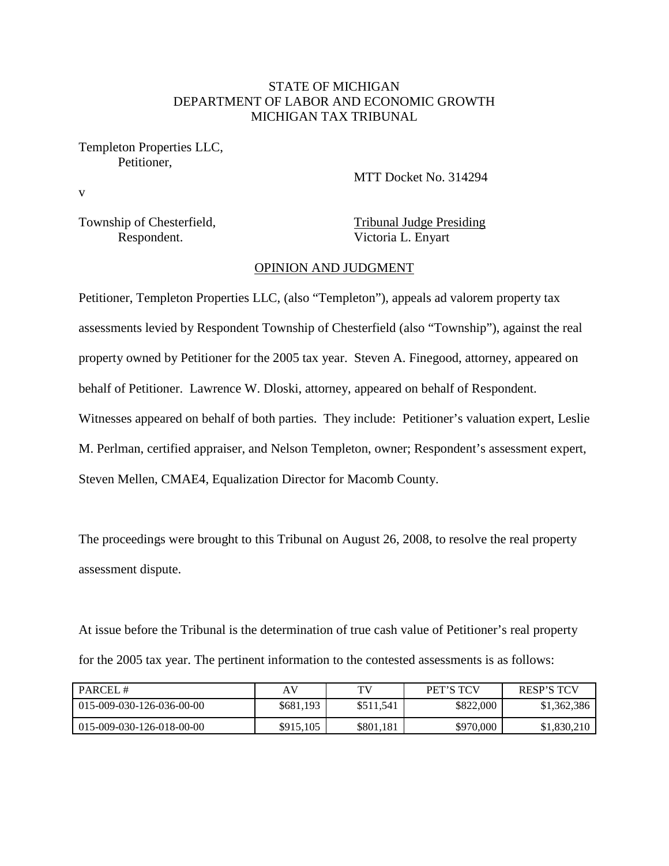## STATE OF MICHIGAN DEPARTMENT OF LABOR AND ECONOMIC GROWTH MICHIGAN TAX TRIBUNAL

Templeton Properties LLC, Petitioner,

MTT Docket No. 314294

Township of Chesterfield, Tribunal Judge Presiding

v

Respondent. Victoria L. Enyart

### OPINION AND JUDGMENT

Petitioner, Templeton Properties LLC, (also "Templeton"), appeals ad valorem property tax assessments levied by Respondent Township of Chesterfield (also "Township"), against the real property owned by Petitioner for the 2005 tax year. Steven A. Finegood, attorney, appeared on behalf of Petitioner. Lawrence W. Dloski, attorney, appeared on behalf of Respondent. Witnesses appeared on behalf of both parties. They include: Petitioner's valuation expert, Leslie M. Perlman, certified appraiser, and Nelson Templeton, owner; Respondent's assessment expert, Steven Mellen, CMAE4, Equalization Director for Macomb County.

The proceedings were brought to this Tribunal on August 26, 2008, to resolve the real property assessment dispute.

At issue before the Tribunal is the determination of true cash value of Petitioner's real property for the 2005 tax year. The pertinent information to the contested assessments is as follows:

| PARCEL#                      | AV        | TV        | <b>PET'S TCV</b> | <b>RESP'S TCV</b> |
|------------------------------|-----------|-----------|------------------|-------------------|
| $1015-009-030-126-036-00-00$ | \$681,193 | \$511,541 | \$822,000        | \$1,362,386       |
| 015-009-030-126-018-00-00    | \$915,105 | \$801,181 | \$970,000        | \$1,830,210       |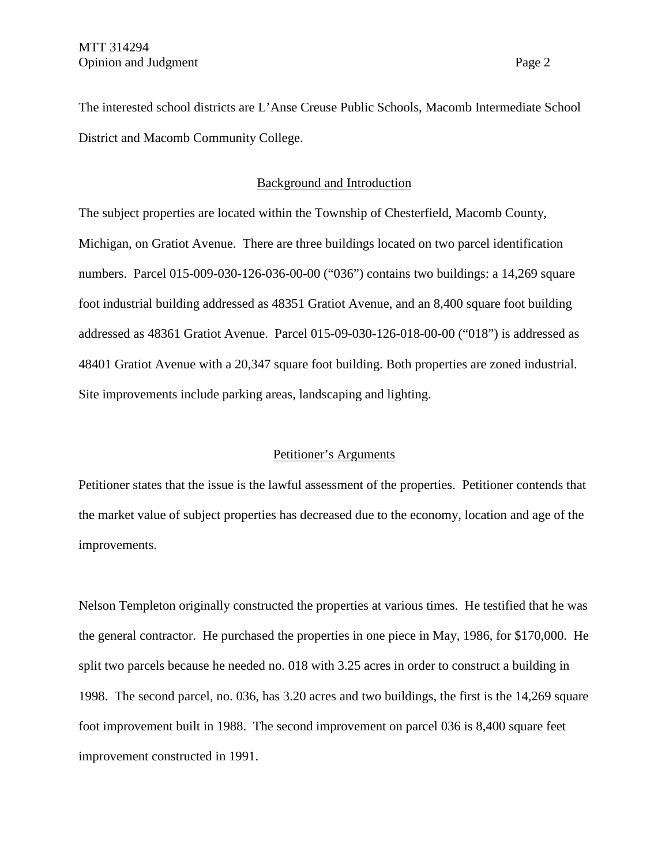The interested school districts are L'Anse Creuse Public Schools, Macomb Intermediate School District and Macomb Community College.

### Background and Introduction

The subject properties are located within the Township of Chesterfield, Macomb County, Michigan, on Gratiot Avenue. There are three buildings located on two parcel identification numbers. Parcel 015-009-030-126-036-00-00 ("036") contains two buildings: a 14,269 square foot industrial building addressed as 48351 Gratiot Avenue, and an 8,400 square foot building addressed as 48361 Gratiot Avenue. Parcel 015-09-030-126-018-00-00 ("018") is addressed as 48401 Gratiot Avenue with a 20,347 square foot building. Both properties are zoned industrial. Site improvements include parking areas, landscaping and lighting.

### Petitioner's Arguments

Petitioner states that the issue is the lawful assessment of the properties. Petitioner contends that the market value of subject properties has decreased due to the economy, location and age of the improvements.

Nelson Templeton originally constructed the properties at various times. He testified that he was the general contractor. He purchased the properties in one piece in May, 1986, for \$170,000. He split two parcels because he needed no. 018 with 3.25 acres in order to construct a building in 1998. The second parcel, no. 036, has 3.20 acres and two buildings, the first is the 14,269 square foot improvement built in 1988. The second improvement on parcel 036 is 8,400 square feet improvement constructed in 1991.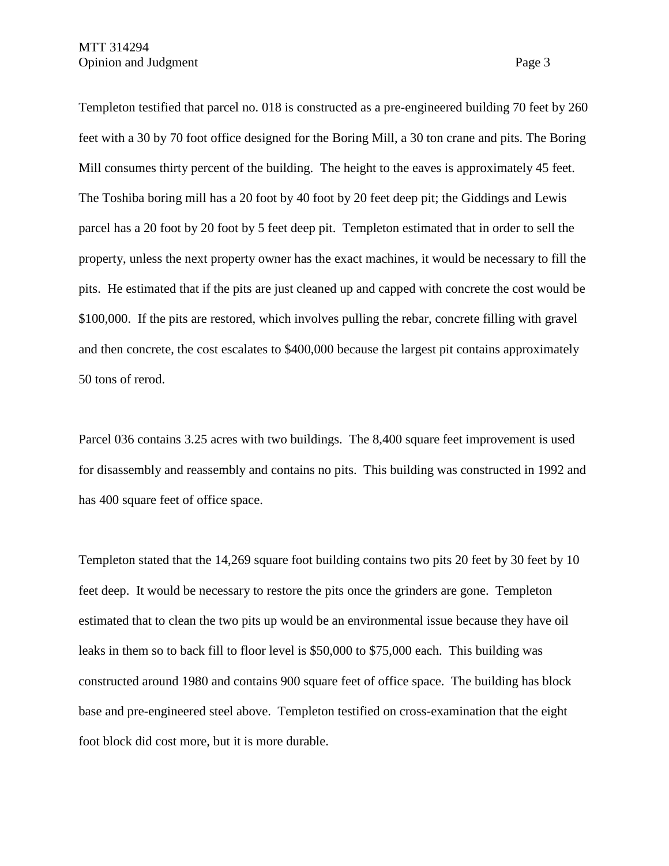Templeton testified that parcel no. 018 is constructed as a pre-engineered building 70 feet by 260 feet with a 30 by 70 foot office designed for the Boring Mill, a 30 ton crane and pits. The Boring Mill consumes thirty percent of the building. The height to the eaves is approximately 45 feet. The Toshiba boring mill has a 20 foot by 40 foot by 20 feet deep pit; the Giddings and Lewis parcel has a 20 foot by 20 foot by 5 feet deep pit. Templeton estimated that in order to sell the property, unless the next property owner has the exact machines, it would be necessary to fill the pits. He estimated that if the pits are just cleaned up and capped with concrete the cost would be \$100,000. If the pits are restored, which involves pulling the rebar, concrete filling with gravel and then concrete, the cost escalates to \$400,000 because the largest pit contains approximately 50 tons of rerod.

Parcel 036 contains 3.25 acres with two buildings. The 8,400 square feet improvement is used for disassembly and reassembly and contains no pits. This building was constructed in 1992 and has 400 square feet of office space.

Templeton stated that the 14,269 square foot building contains two pits 20 feet by 30 feet by 10 feet deep. It would be necessary to restore the pits once the grinders are gone. Templeton estimated that to clean the two pits up would be an environmental issue because they have oil leaks in them so to back fill to floor level is \$50,000 to \$75,000 each. This building was constructed around 1980 and contains 900 square feet of office space. The building has block base and pre-engineered steel above. Templeton testified on cross-examination that the eight foot block did cost more, but it is more durable.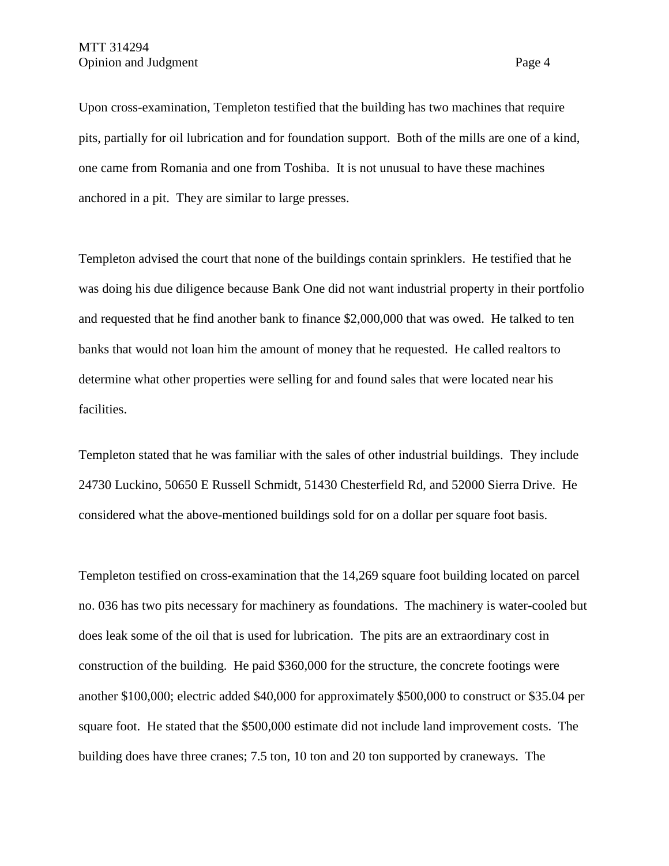Upon cross-examination, Templeton testified that the building has two machines that require pits, partially for oil lubrication and for foundation support. Both of the mills are one of a kind, one came from Romania and one from Toshiba. It is not unusual to have these machines anchored in a pit. They are similar to large presses.

Templeton advised the court that none of the buildings contain sprinklers. He testified that he was doing his due diligence because Bank One did not want industrial property in their portfolio and requested that he find another bank to finance \$2,000,000 that was owed. He talked to ten banks that would not loan him the amount of money that he requested. He called realtors to determine what other properties were selling for and found sales that were located near his facilities.

Templeton stated that he was familiar with the sales of other industrial buildings. They include 24730 Luckino, 50650 E Russell Schmidt, 51430 Chesterfield Rd, and 52000 Sierra Drive. He considered what the above-mentioned buildings sold for on a dollar per square foot basis.

Templeton testified on cross-examination that the 14,269 square foot building located on parcel no. 036 has two pits necessary for machinery as foundations. The machinery is water-cooled but does leak some of the oil that is used for lubrication. The pits are an extraordinary cost in construction of the building. He paid \$360,000 for the structure, the concrete footings were another \$100,000; electric added \$40,000 for approximately \$500,000 to construct or \$35.04 per square foot. He stated that the \$500,000 estimate did not include land improvement costs. The building does have three cranes; 7.5 ton, 10 ton and 20 ton supported by craneways. The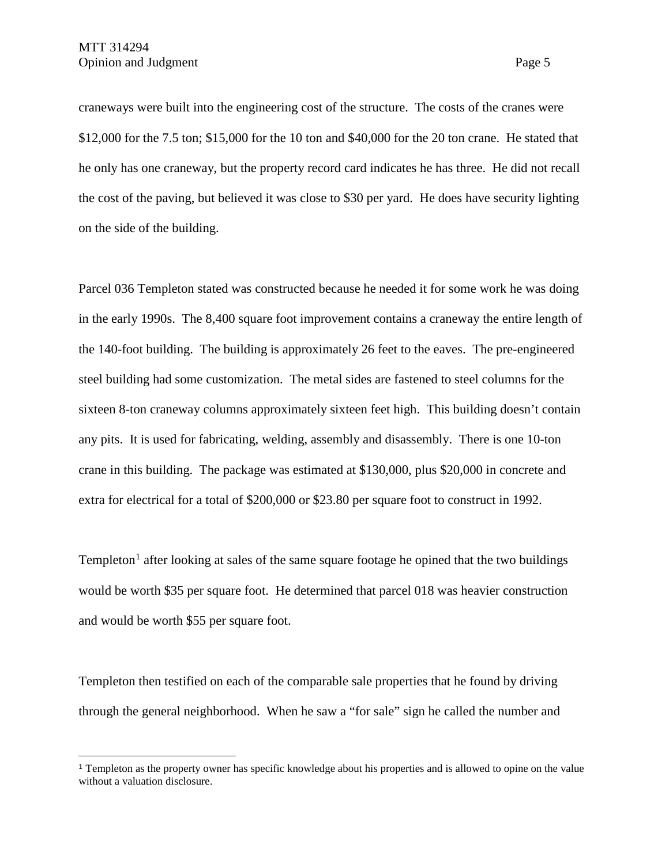$\overline{a}$ 

craneways were built into the engineering cost of the structure. The costs of the cranes were \$12,000 for the 7.5 ton; \$15,000 for the 10 ton and \$40,000 for the 20 ton crane. He stated that he only has one craneway, but the property record card indicates he has three. He did not recall the cost of the paving, but believed it was close to \$30 per yard. He does have security lighting on the side of the building.

Parcel 036 Templeton stated was constructed because he needed it for some work he was doing in the early 1990s. The 8,400 square foot improvement contains a craneway the entire length of the 140-foot building. The building is approximately 26 feet to the eaves. The pre-engineered steel building had some customization. The metal sides are fastened to steel columns for the sixteen 8-ton craneway columns approximately sixteen feet high. This building doesn't contain any pits. It is used for fabricating, welding, assembly and disassembly. There is one 10-ton crane in this building. The package was estimated at \$130,000, plus \$20,000 in concrete and extra for electrical for a total of \$200,000 or \$23.80 per square foot to construct in 1992.

Templeton<sup>[1](#page-4-0)</sup> after looking at sales of the same square footage he opined that the two buildings would be worth \$35 per square foot. He determined that parcel 018 was heavier construction and would be worth \$55 per square foot.

Templeton then testified on each of the comparable sale properties that he found by driving through the general neighborhood. When he saw a "for sale" sign he called the number and

<span id="page-4-0"></span><sup>1</sup> Templeton as the property owner has specific knowledge about his properties and is allowed to opine on the value without a valuation disclosure.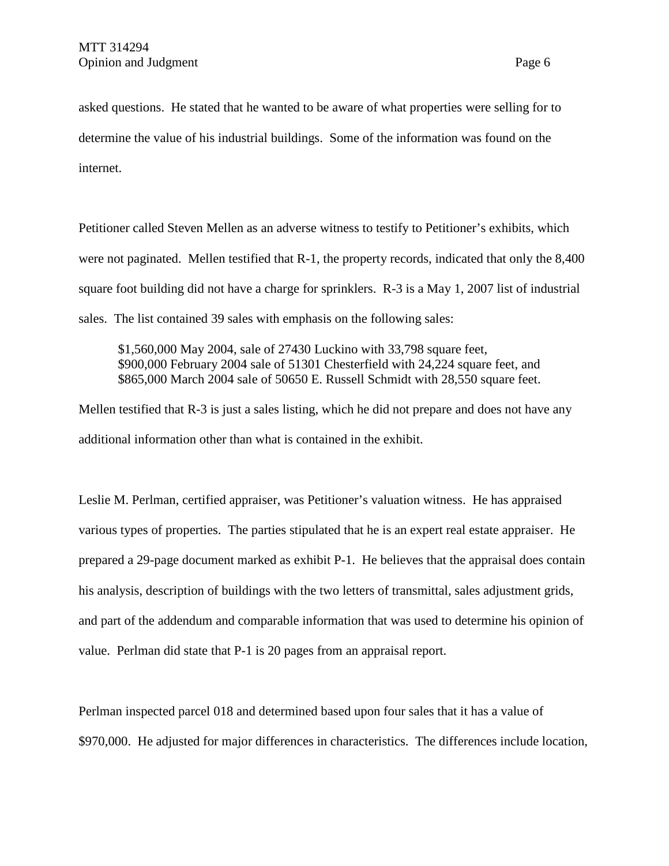asked questions. He stated that he wanted to be aware of what properties were selling for to determine the value of his industrial buildings. Some of the information was found on the internet.

Petitioner called Steven Mellen as an adverse witness to testify to Petitioner's exhibits, which were not paginated. Mellen testified that R-1, the property records, indicated that only the 8,400 square foot building did not have a charge for sprinklers. R-3 is a May 1, 2007 list of industrial sales. The list contained 39 sales with emphasis on the following sales:

\$1,560,000 May 2004, sale of 27430 Luckino with 33,798 square feet, \$900,000 February 2004 sale of 51301 Chesterfield with 24,224 square feet, and \$865,000 March 2004 sale of 50650 E. Russell Schmidt with 28,550 square feet.

Mellen testified that R-3 is just a sales listing, which he did not prepare and does not have any additional information other than what is contained in the exhibit.

Leslie M. Perlman, certified appraiser, was Petitioner's valuation witness. He has appraised various types of properties. The parties stipulated that he is an expert real estate appraiser. He prepared a 29-page document marked as exhibit P-1. He believes that the appraisal does contain his analysis, description of buildings with the two letters of transmittal, sales adjustment grids, and part of the addendum and comparable information that was used to determine his opinion of value. Perlman did state that P-1 is 20 pages from an appraisal report.

Perlman inspected parcel 018 and determined based upon four sales that it has a value of \$970,000. He adjusted for major differences in characteristics. The differences include location,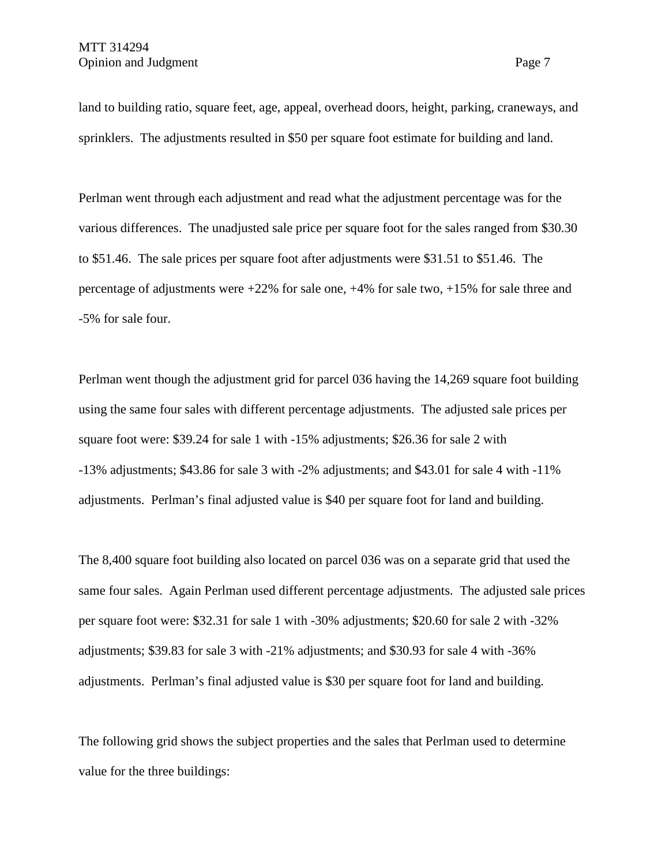land to building ratio, square feet, age, appeal, overhead doors, height, parking, craneways, and sprinklers. The adjustments resulted in \$50 per square foot estimate for building and land.

Perlman went through each adjustment and read what the adjustment percentage was for the various differences. The unadjusted sale price per square foot for the sales ranged from \$30.30 to \$51.46. The sale prices per square foot after adjustments were \$31.51 to \$51.46. The percentage of adjustments were +22% for sale one, +4% for sale two, +15% for sale three and -5% for sale four.

Perlman went though the adjustment grid for parcel 036 having the 14,269 square foot building using the same four sales with different percentage adjustments. The adjusted sale prices per square foot were: \$39.24 for sale 1 with -15% adjustments; \$26.36 for sale 2 with -13% adjustments; \$43.86 for sale 3 with -2% adjustments; and \$43.01 for sale 4 with -11% adjustments. Perlman's final adjusted value is \$40 per square foot for land and building.

The 8,400 square foot building also located on parcel 036 was on a separate grid that used the same four sales. Again Perlman used different percentage adjustments. The adjusted sale prices per square foot were: \$32.31 for sale 1 with -30% adjustments; \$20.60 for sale 2 with -32% adjustments; \$39.83 for sale 3 with -21% adjustments; and \$30.93 for sale 4 with -36% adjustments. Perlman's final adjusted value is \$30 per square foot for land and building.

The following grid shows the subject properties and the sales that Perlman used to determine value for the three buildings: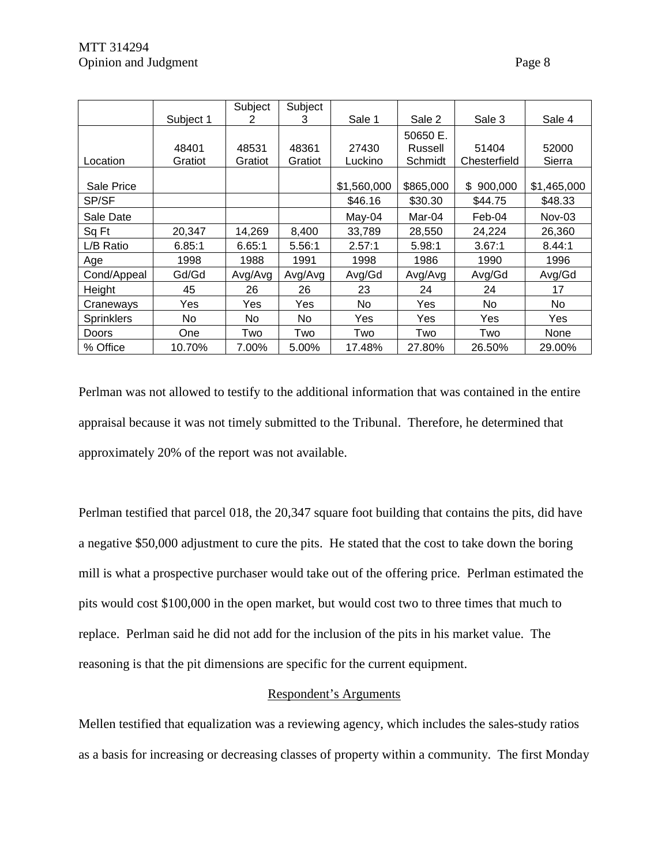|                   |           | Subject | Subject |             |           |               |             |
|-------------------|-----------|---------|---------|-------------|-----------|---------------|-------------|
|                   | Subject 1 | 2       | 3       | Sale 1      | Sale 2    | Sale 3        | Sale 4      |
|                   |           |         |         |             | 50650 E.  |               |             |
|                   | 48401     | 48531   | 48361   | 27430       | Russell   | 51404         | 52000       |
| Location          | Gratiot   | Gratiot | Gratiot | Luckino     | Schmidt   | Chesterfield  | Sierra      |
|                   |           |         |         |             |           |               |             |
| Sale Price        |           |         |         | \$1,560,000 | \$865,000 | \$<br>900,000 | \$1,465,000 |
| SP/SF             |           |         |         | \$46.16     | \$30.30   | \$44.75       | \$48.33     |
| Sale Date         |           |         |         | May-04      | Mar-04    | Feb-04        | $Nov-03$    |
| Sq Ft             | 20,347    | 14,269  | 8,400   | 33,789      | 28,550    | 24,224        | 26,360      |
| L/B Ratio         | 6.85:1    | 6.65:1  | 5.56:1  | 2.57:1      | 5.98:1    | 3.67:1        | 8.44:1      |
| Age               | 1998      | 1988    | 1991    | 1998        | 1986      | 1990          | 1996        |
| Cond/Appeal       | Gd/Gd     | Avg/Avg | Avg/Avg | Avg/Gd      | Avg/Avg   | Avg/Gd        | Avg/Gd      |
| Height            | 45        | 26      | 26      | 23          | 24        | 24            | 17          |
| Craneways         | Yes       | Yes     | Yes     | No.         | Yes       | No.           | No          |
| <b>Sprinklers</b> | No        | No.     | No.     | Yes         | Yes       | Yes           | Yes         |
| Doors             | One       | Two     | Two     | Two         | Two       | Two           | None        |
| % Office          | 10.70%    | 7.00%   | 5.00%   | 17.48%      | 27.80%    | 26.50%        | 29.00%      |

Perlman was not allowed to testify to the additional information that was contained in the entire appraisal because it was not timely submitted to the Tribunal. Therefore, he determined that approximately 20% of the report was not available.

Perlman testified that parcel 018, the 20,347 square foot building that contains the pits, did have a negative \$50,000 adjustment to cure the pits. He stated that the cost to take down the boring mill is what a prospective purchaser would take out of the offering price. Perlman estimated the pits would cost \$100,000 in the open market, but would cost two to three times that much to replace. Perlman said he did not add for the inclusion of the pits in his market value. The reasoning is that the pit dimensions are specific for the current equipment.

# Respondent's Arguments

Mellen testified that equalization was a reviewing agency, which includes the sales-study ratios as a basis for increasing or decreasing classes of property within a community. The first Monday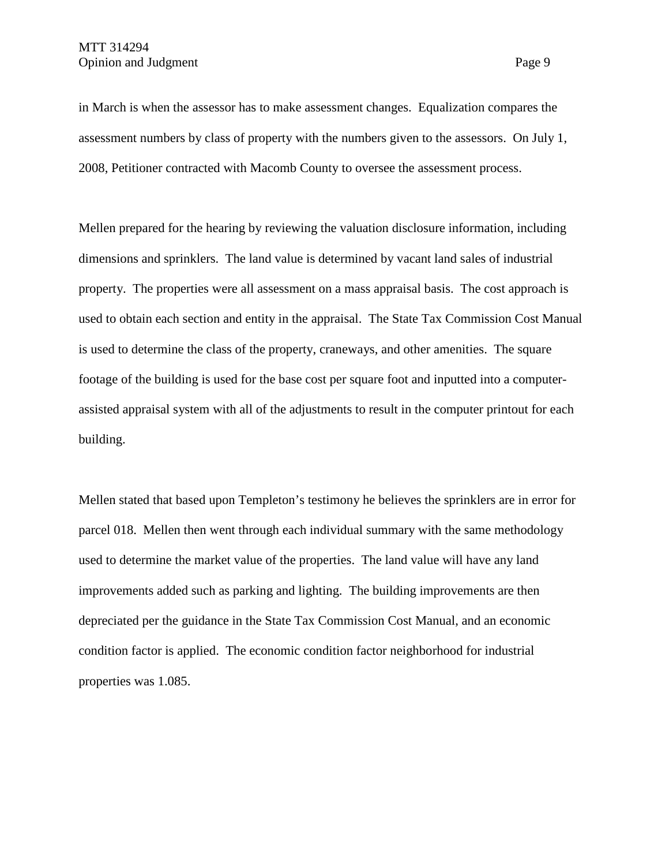in March is when the assessor has to make assessment changes. Equalization compares the assessment numbers by class of property with the numbers given to the assessors. On July 1, 2008, Petitioner contracted with Macomb County to oversee the assessment process.

Mellen prepared for the hearing by reviewing the valuation disclosure information, including dimensions and sprinklers. The land value is determined by vacant land sales of industrial property. The properties were all assessment on a mass appraisal basis. The cost approach is used to obtain each section and entity in the appraisal. The State Tax Commission Cost Manual is used to determine the class of the property, craneways, and other amenities. The square footage of the building is used for the base cost per square foot and inputted into a computerassisted appraisal system with all of the adjustments to result in the computer printout for each building.

Mellen stated that based upon Templeton's testimony he believes the sprinklers are in error for parcel 018. Mellen then went through each individual summary with the same methodology used to determine the market value of the properties. The land value will have any land improvements added such as parking and lighting. The building improvements are then depreciated per the guidance in the State Tax Commission Cost Manual, and an economic condition factor is applied. The economic condition factor neighborhood for industrial properties was 1.085.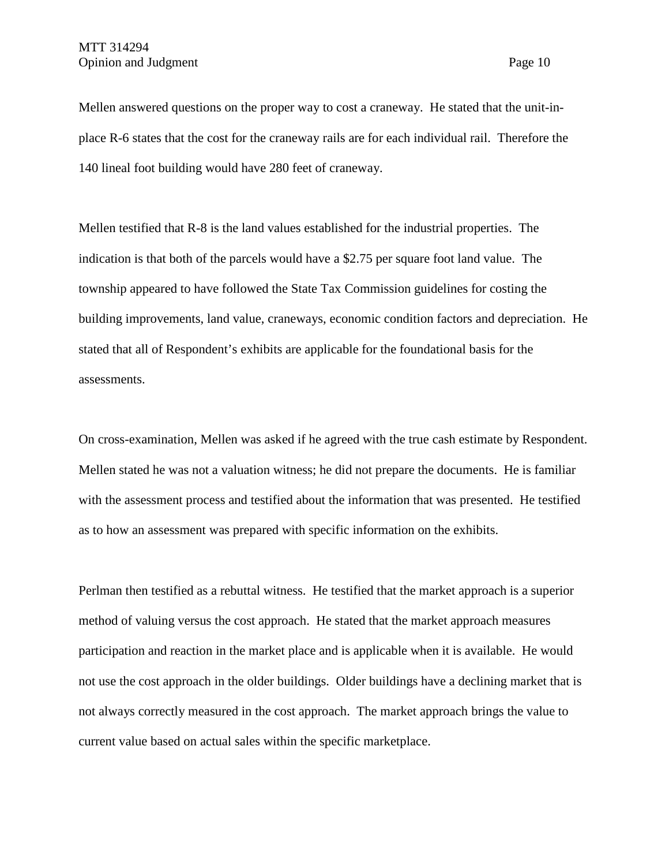Mellen answered questions on the proper way to cost a craneway. He stated that the unit-inplace R-6 states that the cost for the craneway rails are for each individual rail. Therefore the 140 lineal foot building would have 280 feet of craneway.

Mellen testified that R-8 is the land values established for the industrial properties. The indication is that both of the parcels would have a \$2.75 per square foot land value. The township appeared to have followed the State Tax Commission guidelines for costing the building improvements, land value, craneways, economic condition factors and depreciation. He stated that all of Respondent's exhibits are applicable for the foundational basis for the assessments.

On cross-examination, Mellen was asked if he agreed with the true cash estimate by Respondent. Mellen stated he was not a valuation witness; he did not prepare the documents. He is familiar with the assessment process and testified about the information that was presented. He testified as to how an assessment was prepared with specific information on the exhibits.

Perlman then testified as a rebuttal witness. He testified that the market approach is a superior method of valuing versus the cost approach. He stated that the market approach measures participation and reaction in the market place and is applicable when it is available. He would not use the cost approach in the older buildings. Older buildings have a declining market that is not always correctly measured in the cost approach. The market approach brings the value to current value based on actual sales within the specific marketplace.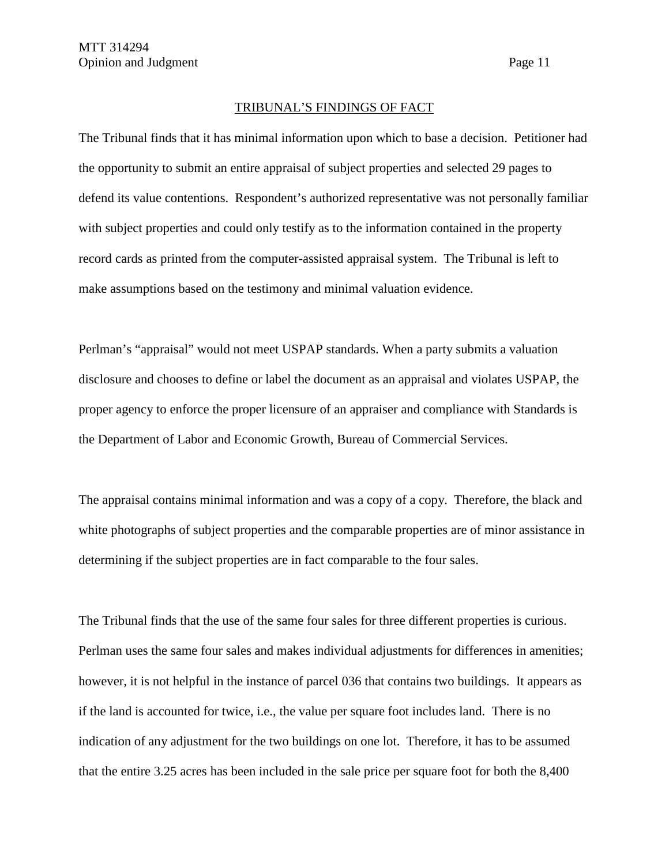### TRIBUNAL'S FINDINGS OF FACT

The Tribunal finds that it has minimal information upon which to base a decision. Petitioner had the opportunity to submit an entire appraisal of subject properties and selected 29 pages to defend its value contentions. Respondent's authorized representative was not personally familiar with subject properties and could only testify as to the information contained in the property record cards as printed from the computer-assisted appraisal system. The Tribunal is left to make assumptions based on the testimony and minimal valuation evidence.

Perlman's "appraisal" would not meet USPAP standards. When a party submits a valuation disclosure and chooses to define or label the document as an appraisal and violates USPAP, the proper agency to enforce the proper licensure of an appraiser and compliance with Standards is the Department of Labor and Economic Growth, Bureau of Commercial Services.

The appraisal contains minimal information and was a copy of a copy. Therefore, the black and white photographs of subject properties and the comparable properties are of minor assistance in determining if the subject properties are in fact comparable to the four sales.

The Tribunal finds that the use of the same four sales for three different properties is curious. Perlman uses the same four sales and makes individual adjustments for differences in amenities; however, it is not helpful in the instance of parcel 036 that contains two buildings. It appears as if the land is accounted for twice, i.e., the value per square foot includes land. There is no indication of any adjustment for the two buildings on one lot. Therefore, it has to be assumed that the entire 3.25 acres has been included in the sale price per square foot for both the 8,400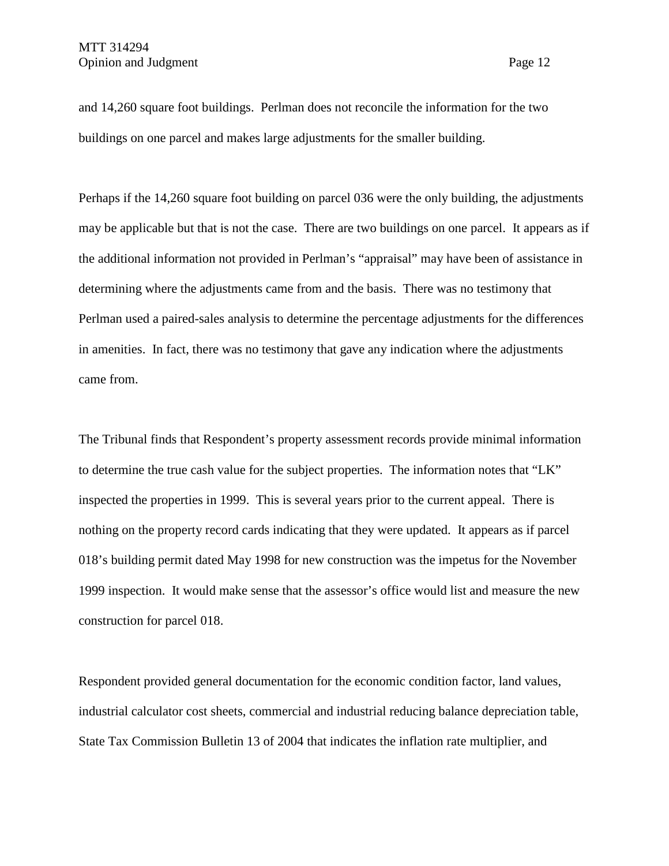and 14,260 square foot buildings. Perlman does not reconcile the information for the two buildings on one parcel and makes large adjustments for the smaller building.

Perhaps if the 14,260 square foot building on parcel 036 were the only building, the adjustments may be applicable but that is not the case. There are two buildings on one parcel. It appears as if the additional information not provided in Perlman's "appraisal" may have been of assistance in determining where the adjustments came from and the basis. There was no testimony that Perlman used a paired-sales analysis to determine the percentage adjustments for the differences in amenities. In fact, there was no testimony that gave any indication where the adjustments came from.

The Tribunal finds that Respondent's property assessment records provide minimal information to determine the true cash value for the subject properties. The information notes that "LK" inspected the properties in 1999. This is several years prior to the current appeal. There is nothing on the property record cards indicating that they were updated. It appears as if parcel 018's building permit dated May 1998 for new construction was the impetus for the November 1999 inspection. It would make sense that the assessor's office would list and measure the new construction for parcel 018.

Respondent provided general documentation for the economic condition factor, land values, industrial calculator cost sheets, commercial and industrial reducing balance depreciation table, State Tax Commission Bulletin 13 of 2004 that indicates the inflation rate multiplier, and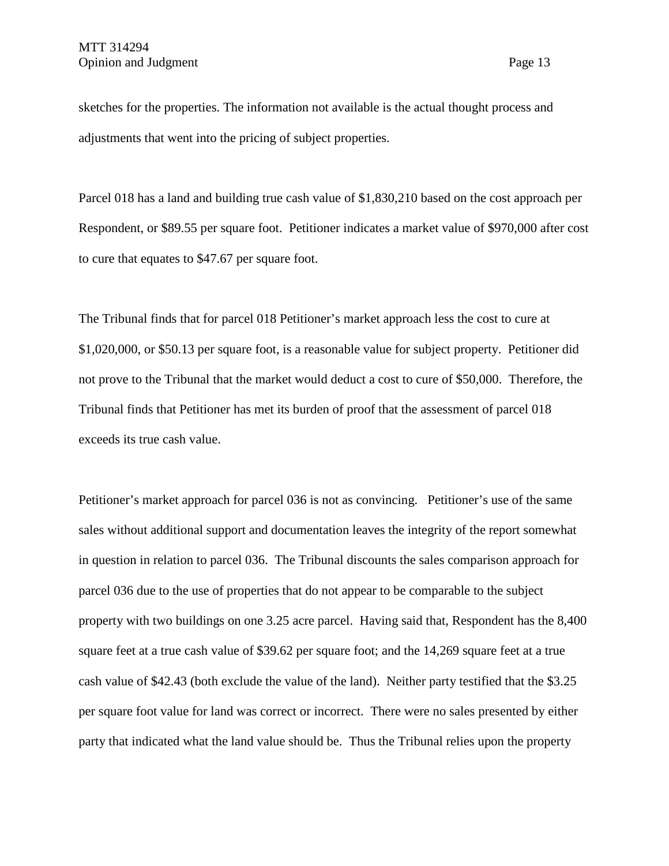sketches for the properties. The information not available is the actual thought process and adjustments that went into the pricing of subject properties.

Parcel 018 has a land and building true cash value of \$1,830,210 based on the cost approach per Respondent, or \$89.55 per square foot. Petitioner indicates a market value of \$970,000 after cost to cure that equates to \$47.67 per square foot.

The Tribunal finds that for parcel 018 Petitioner's market approach less the cost to cure at \$1,020,000, or \$50.13 per square foot, is a reasonable value for subject property. Petitioner did not prove to the Tribunal that the market would deduct a cost to cure of \$50,000. Therefore, the Tribunal finds that Petitioner has met its burden of proof that the assessment of parcel 018 exceeds its true cash value.

Petitioner's market approach for parcel 036 is not as convincing. Petitioner's use of the same sales without additional support and documentation leaves the integrity of the report somewhat in question in relation to parcel 036. The Tribunal discounts the sales comparison approach for parcel 036 due to the use of properties that do not appear to be comparable to the subject property with two buildings on one 3.25 acre parcel. Having said that, Respondent has the 8,400 square feet at a true cash value of \$39.62 per square foot; and the 14,269 square feet at a true cash value of \$42.43 (both exclude the value of the land). Neither party testified that the \$3.25 per square foot value for land was correct or incorrect. There were no sales presented by either party that indicated what the land value should be. Thus the Tribunal relies upon the property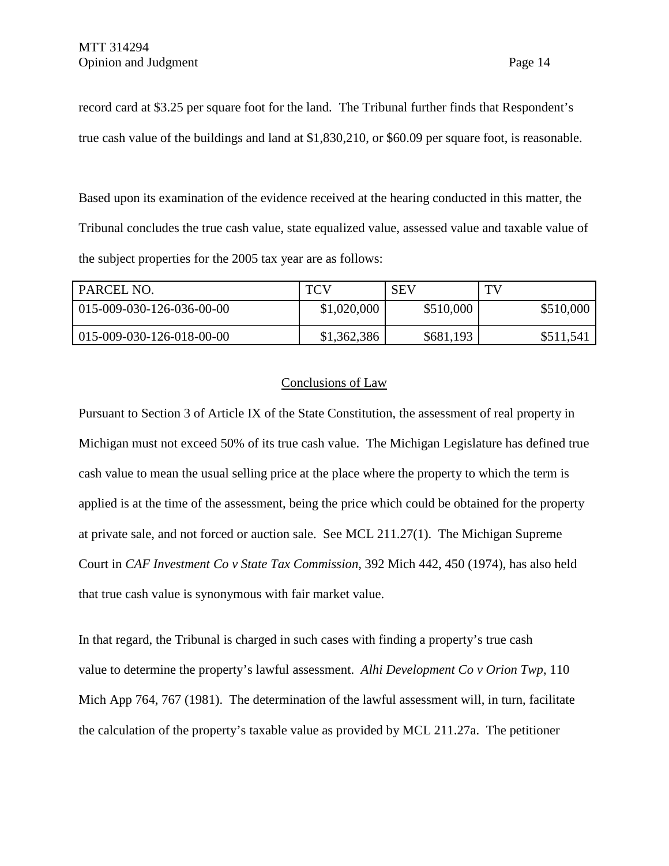record card at \$3.25 per square foot for the land. The Tribunal further finds that Respondent's true cash value of the buildings and land at \$1,830,210, or \$60.09 per square foot, is reasonable.

Based upon its examination of the evidence received at the hearing conducted in this matter, the Tribunal concludes the true cash value, state equalized value, assessed value and taxable value of the subject properties for the 2005 tax year are as follows:

| PARCEL NO.                | <b>TCV</b>  | <b>SEV</b> | TV        |
|---------------------------|-------------|------------|-----------|
| 015-009-030-126-036-00-00 | \$1,020,000 | \$510,000  | \$510,000 |
| 015-009-030-126-018-00-00 | \$1,362,386 | \$681,193  | \$511,541 |

### Conclusions of Law

Pursuant to Section 3 of Article IX of the State Constitution, the assessment of real property in Michigan must not exceed 50% of its true cash value. The Michigan Legislature has defined true cash value to mean the usual selling price at the place where the property to which the term is applied is at the time of the assessment, being the price which could be obtained for the property at private sale, and not forced or auction sale. See MCL 211.27(1). The Michigan Supreme Court in *CAF Investment Co v State Tax Commission*, 392 Mich 442, 450 (1974), has also held that true cash value is synonymous with fair market value.

In that regard, the Tribunal is charged in such cases with finding a property's true cash value to determine the property's lawful assessment. *Alhi Development Co v Orion Twp*, 110 Mich App 764, 767 (1981). The determination of the lawful assessment will, in turn, facilitate the calculation of the property's taxable value as provided by MCL 211.27a. The petitioner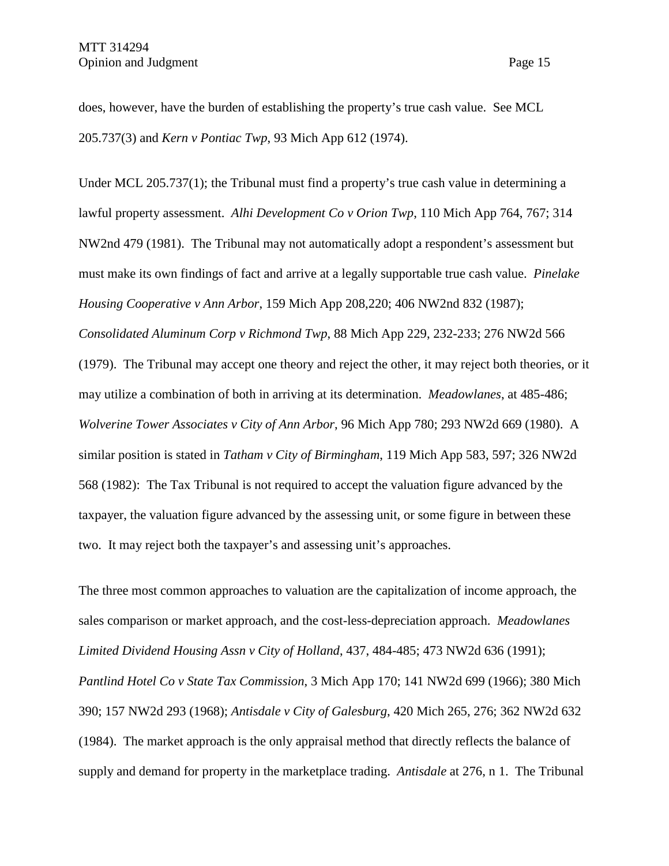does, however, have the burden of establishing the property's true cash value. See MCL 205.737(3) and *Kern v Pontiac Twp*, 93 Mich App 612 (1974).

Under MCL 205.737(1); the Tribunal must find a property's true cash value in determining a lawful property assessment. *Alhi Development Co v Orion Twp*, 110 Mich App 764, 767; 314 NW2nd 479 (1981). The Tribunal may not automatically adopt a respondent's assessment but must make its own findings of fact and arrive at a legally supportable true cash value. *Pinelake Housing Cooperative v Ann Arbor*, 159 Mich App 208,220; 406 NW2nd 832 (1987); *Consolidated Aluminum Corp v Richmond Twp*, 88 Mich App 229, 232-233; 276 NW2d 566 (1979). The Tribunal may accept one theory and reject the other, it may reject both theories, or it may utilize a combination of both in arriving at its determination. *Meadowlanes*, at 485-486; *Wolverine Tower Associates v City of Ann Arbor*, 96 Mich App 780; 293 NW2d 669 (1980). A similar position is stated in *Tatham v City of Birmingham*, 119 Mich App 583, 597; 326 NW2d 568 (1982): The Tax Tribunal is not required to accept the valuation figure advanced by the taxpayer, the valuation figure advanced by the assessing unit, or some figure in between these two. It may reject both the taxpayer's and assessing unit's approaches.

The three most common approaches to valuation are the capitalization of income approach, the sales comparison or market approach, and the cost-less-depreciation approach. *Meadowlanes Limited Dividend Housing Assn v City of Holland*, 437, 484-485; 473 NW2d 636 (1991); *Pantlind Hotel Co v State Tax Commission*, 3 Mich App 170; 141 NW2d 699 (1966); 380 Mich 390; 157 NW2d 293 (1968); *Antisdale v City of Galesburg*, 420 Mich 265, 276; 362 NW2d 632 (1984). The market approach is the only appraisal method that directly reflects the balance of supply and demand for property in the marketplace trading. *Antisdale* at 276, n 1. The Tribunal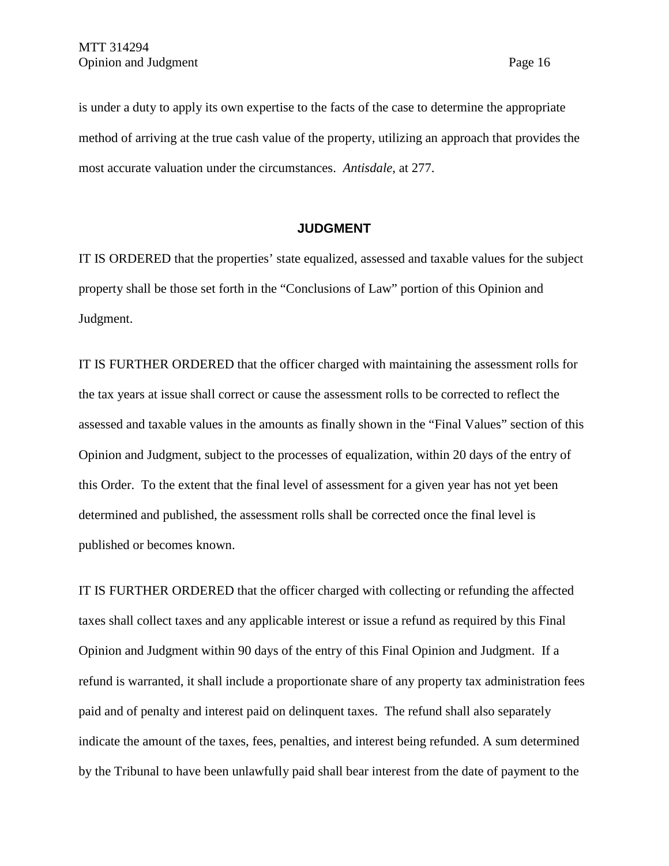is under a duty to apply its own expertise to the facts of the case to determine the appropriate method of arriving at the true cash value of the property, utilizing an approach that provides the most accurate valuation under the circumstances. *Antisdale*, at 277.

### **JUDGMENT**

IT IS ORDERED that the properties' state equalized, assessed and taxable values for the subject property shall be those set forth in the "Conclusions of Law" portion of this Opinion and Judgment.

IT IS FURTHER ORDERED that the officer charged with maintaining the assessment rolls for the tax years at issue shall correct or cause the assessment rolls to be corrected to reflect the assessed and taxable values in the amounts as finally shown in the "Final Values" section of this Opinion and Judgment, subject to the processes of equalization, within 20 days of the entry of this Order. To the extent that the final level of assessment for a given year has not yet been determined and published, the assessment rolls shall be corrected once the final level is published or becomes known.

IT IS FURTHER ORDERED that the officer charged with collecting or refunding the affected taxes shall collect taxes and any applicable interest or issue a refund as required by this Final Opinion and Judgment within 90 days of the entry of this Final Opinion and Judgment. If a refund is warranted, it shall include a proportionate share of any property tax administration fees paid and of penalty and interest paid on delinquent taxes. The refund shall also separately indicate the amount of the taxes, fees, penalties, and interest being refunded. A sum determined by the Tribunal to have been unlawfully paid shall bear interest from the date of payment to the